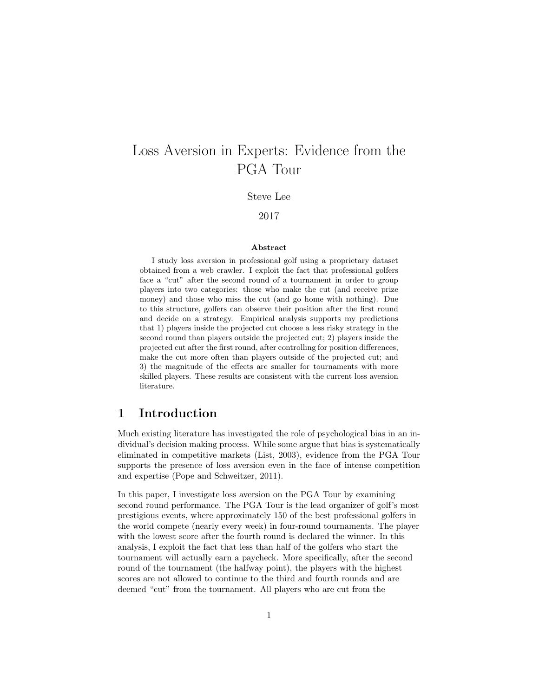# Loss Aversion in Experts: Evidence from the PGA Tour

Steve Lee

### 2017

#### Abstract

I study loss aversion in professional golf using a proprietary dataset obtained from a web crawler. I exploit the fact that professional golfers face a "cut" after the second round of a tournament in order to group players into two categories: those who make the cut (and receive prize money) and those who miss the cut (and go home with nothing). Due to this structure, golfers can observe their position after the first round and decide on a strategy. Empirical analysis supports my predictions that 1) players inside the projected cut choose a less risky strategy in the second round than players outside the projected cut; 2) players inside the projected cut after the first round, after controlling for position differences, make the cut more often than players outside of the projected cut; and 3) the magnitude of the effects are smaller for tournaments with more skilled players. These results are consistent with the current loss aversion literature.

### 1 Introduction

Much existing literature has investigated the role of psychological bias in an individual's decision making process. While some argue that bias is systematically eliminated in competitive markets (List, 2003), evidence from the PGA Tour supports the presence of loss aversion even in the face of intense competition and expertise (Pope and Schweitzer, 2011).

In this paper, I investigate loss aversion on the PGA Tour by examining second round performance. The PGA Tour is the lead organizer of golf's most prestigious events, where approximately 150 of the best professional golfers in the world compete (nearly every week) in four-round tournaments. The player with the lowest score after the fourth round is declared the winner. In this analysis, I exploit the fact that less than half of the golfers who start the tournament will actually earn a paycheck. More specifically, after the second round of the tournament (the halfway point), the players with the highest scores are not allowed to continue to the third and fourth rounds and are deemed "cut" from the tournament. All players who are cut from the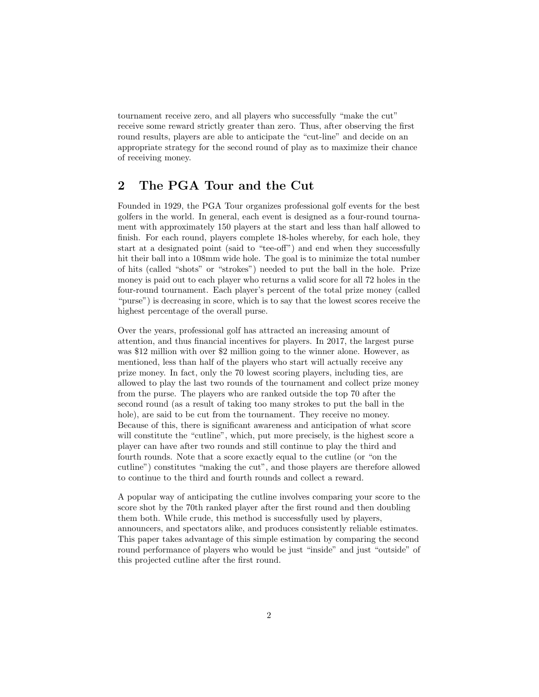tournament receive zero, and all players who successfully "make the cut" receive some reward strictly greater than zero. Thus, after observing the first round results, players are able to anticipate the "cut-line" and decide on an appropriate strategy for the second round of play as to maximize their chance of receiving money.

# 2 The PGA Tour and the Cut

Founded in 1929, the PGA Tour organizes professional golf events for the best golfers in the world. In general, each event is designed as a four-round tournament with approximately 150 players at the start and less than half allowed to finish. For each round, players complete 18-holes whereby, for each hole, they start at a designated point (said to "tee-off") and end when they successfully hit their ball into a 108mm wide hole. The goal is to minimize the total number of hits (called "shots" or "strokes") needed to put the ball in the hole. Prize money is paid out to each player who returns a valid score for all 72 holes in the four-round tournament. Each player's percent of the total prize money (called "purse") is decreasing in score, which is to say that the lowest scores receive the highest percentage of the overall purse.

Over the years, professional golf has attracted an increasing amount of attention, and thus financial incentives for players. In 2017, the largest purse was \$12 million with over \$2 million going to the winner alone. However, as mentioned, less than half of the players who start will actually receive any prize money. In fact, only the 70 lowest scoring players, including ties, are allowed to play the last two rounds of the tournament and collect prize money from the purse. The players who are ranked outside the top 70 after the second round (as a result of taking too many strokes to put the ball in the hole), are said to be cut from the tournament. They receive no money. Because of this, there is significant awareness and anticipation of what score will constitute the "cutline", which, put more precisely, is the highest score a player can have after two rounds and still continue to play the third and fourth rounds. Note that a score exactly equal to the cutline (or "on the cutline") constitutes "making the cut", and those players are therefore allowed to continue to the third and fourth rounds and collect a reward.

A popular way of anticipating the cutline involves comparing your score to the score shot by the 70th ranked player after the first round and then doubling them both. While crude, this method is successfully used by players, announcers, and spectators alike, and produces consistently reliable estimates. This paper takes advantage of this simple estimation by comparing the second round performance of players who would be just "inside" and just "outside" of this projected cutline after the first round.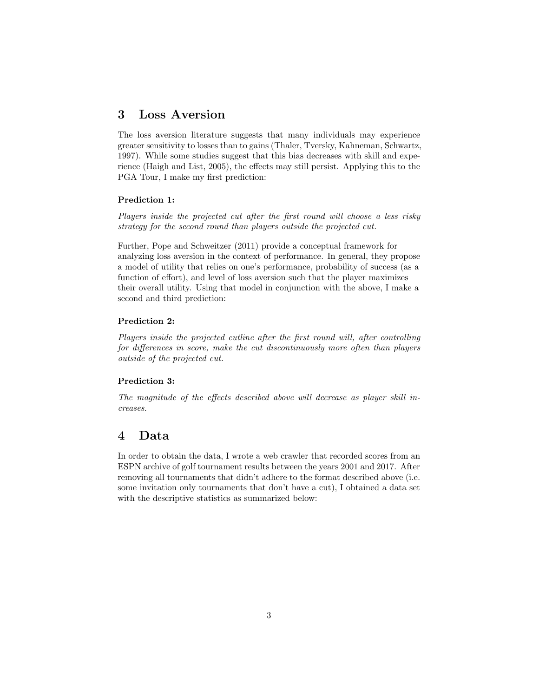### 3 Loss Aversion

The loss aversion literature suggests that many individuals may experience greater sensitivity to losses than to gains (Thaler, Tversky, Kahneman, Schwartz, 1997). While some studies suggest that this bias decreases with skill and experience (Haigh and List, 2005), the effects may still persist. Applying this to the PGA Tour, I make my first prediction:

#### Prediction 1:

Players inside the projected cut after the first round will choose a less risky strategy for the second round than players outside the projected cut.

Further, Pope and Schweitzer (2011) provide a conceptual framework for analyzing loss aversion in the context of performance. In general, they propose a model of utility that relies on one's performance, probability of success (as a function of effort), and level of loss aversion such that the player maximizes their overall utility. Using that model in conjunction with the above, I make a second and third prediction:

### Prediction 2:

Players inside the projected cutline after the first round will, after controlling for differences in score, make the cut discontinuously more often than players outside of the projected cut.

#### Prediction 3:

The magnitude of the effects described above will decrease as player skill increases.

### 4 Data

In order to obtain the data, I wrote a web crawler that recorded scores from an ESPN archive of golf tournament results between the years 2001 and 2017. After removing all tournaments that didn't adhere to the format described above (i.e. some invitation only tournaments that don't have a cut), I obtained a data set with the descriptive statistics as summarized below: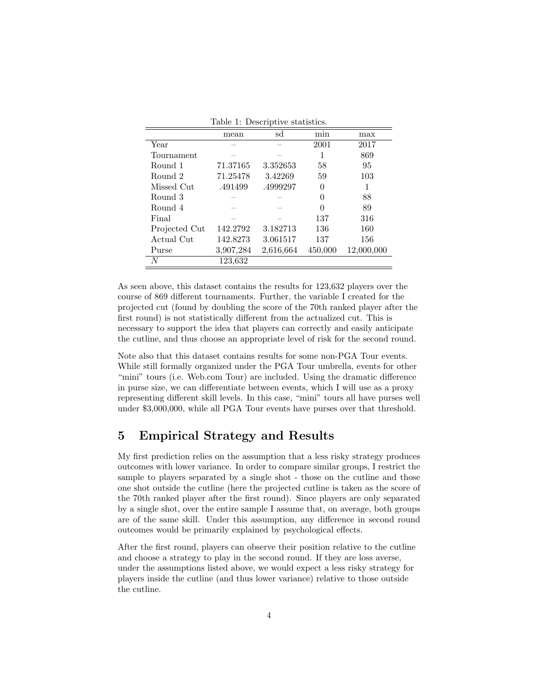|               | mean      | sd        | min      | max        |
|---------------|-----------|-----------|----------|------------|
| Year          |           |           | 2001     | 2017       |
| Tournament    |           |           |          | 869        |
| Round 1       | 71.37165  | 3.352653  | 58       | 95         |
| Round 2       | 71.25478  | 3.42269   | 59       | 103        |
| Missed Cut    | .491499   | .4999297  | 0        |            |
| Round 3       |           |           | $\Omega$ | 88         |
| Round 4       |           |           |          | 89         |
| Final         |           |           | 137      | 316        |
| Projected Cut | 142.2792  | 3.182713  | 136      | 160        |
| Actual Cut    | 142.8273  | 3.061517  | 137      | 156        |
| Purse         | 3,907,284 | 2,616,664 | 450,000  | 12,000,000 |
| N             | 123,632   |           |          |            |

Table 1: Descriptive statistics.

As seen above, this dataset contains the results for 123,632 players over the course of 869 different tournaments. Further, the variable I created for the projected cut (found by doubling the score of the 70th ranked player after the first round) is not statistically different from the actualized cut. This is necessary to support the idea that players can correctly and easily anticipate the cutline, and thus choose an appropriate level of risk for the second round.

Note also that this dataset contains results for some non-PGA Tour events. While still formally organized under the PGA Tour umbrella, events for other "mini" tours (i.e. Web.com Tour) are included. Using the dramatic difference in purse size, we can differentiate between events, which I will use as a proxy representing different skill levels. In this case, "mini" tours all have purses well under \$3,000,000, while all PGA Tour events have purses over that threshold.

# 5 Empirical Strategy and Results

My first prediction relies on the assumption that a less risky strategy produces outcomes with lower variance. In order to compare similar groups, I restrict the sample to players separated by a single shot - those on the cutline and those one shot outside the cutline (here the projected cutline is taken as the score of the 70th ranked player after the first round). Since players are only separated by a single shot, over the entire sample I assume that, on average, both groups are of the same skill. Under this assumption, any difference in second round outcomes would be primarily explained by psychological effects.

After the first round, players can observe their position relative to the cutline and choose a strategy to play in the second round. If they are loss averse, under the assumptions listed above, we would expect a less risky strategy for players inside the cutline (and thus lower variance) relative to those outside the cutline.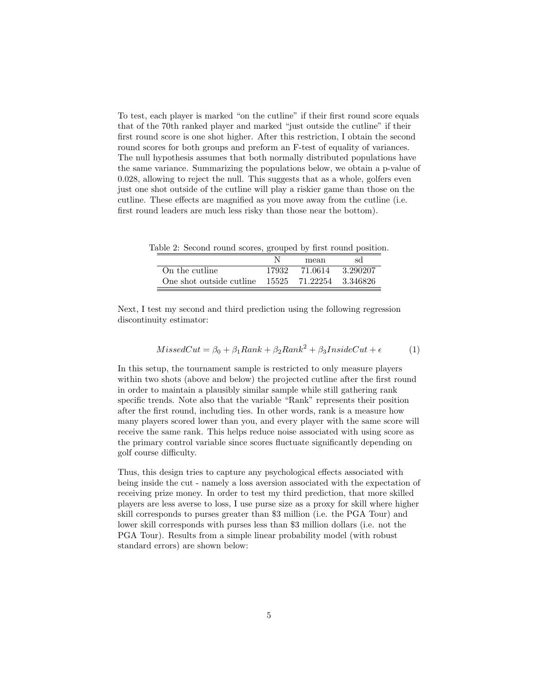To test, each player is marked "on the cutline" if their first round score equals that of the 70th ranked player and marked "just outside the cutline" if their first round score is one shot higher. After this restriction, I obtain the second round scores for both groups and preform an F-test of equality of variances. The null hypothesis assumes that both normally distributed populations have the same variance. Summarizing the populations below, we obtain a p-value of 0.028, allowing to reject the null. This suggests that as a whole, golfers even just one shot outside of the cutline will play a riskier game than those on the cutline. These effects are magnified as you move away from the cutline (i.e. first round leaders are much less risky than those near the bottom).

Table 2: Second round scores, grouped by first round position.

|                                                        |       | mean    | sd        |
|--------------------------------------------------------|-------|---------|-----------|
| On the cutline.                                        | 17932 | 71.0614 | -3.290207 |
| One shot outside cutline $15525$ $71.22254$ $3.346826$ |       |         |           |

Next, I test my second and third prediction using the following regression discontinuity estimator:

$$
MissedCut = \beta_0 + \beta_1 Rank + \beta_2 Rank^2 + \beta_3 InsideCut + \epsilon
$$
 (1)

In this setup, the tournament sample is restricted to only measure players within two shots (above and below) the projected cutline after the first round in order to maintain a plausibly similar sample while still gathering rank specific trends. Note also that the variable "Rank" represents their position after the first round, including ties. In other words, rank is a measure how many players scored lower than you, and every player with the same score will receive the same rank. This helps reduce noise associated with using score as the primary control variable since scores fluctuate significantly depending on golf course difficulty.

Thus, this design tries to capture any psychological effects associated with being inside the cut - namely a loss aversion associated with the expectation of receiving prize money. In order to test my third prediction, that more skilled players are less averse to loss, I use purse size as a proxy for skill where higher skill corresponds to purses greater than \$3 million (i.e. the PGA Tour) and lower skill corresponds with purses less than \$3 million dollars (i.e. not the PGA Tour). Results from a simple linear probability model (with robust standard errors) are shown below: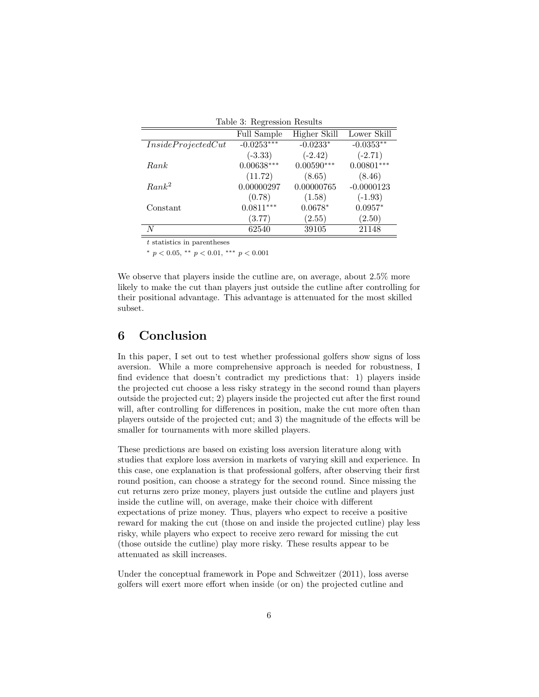| Table 3: Regression Results |              |              |              |  |  |
|-----------------------------|--------------|--------------|--------------|--|--|
|                             | Full Sample  | Higher Skill | Lower Skill  |  |  |
| Inside ProjectedCut         | $-0.0253***$ | $-0.0233*$   | $-0.0353**$  |  |  |
|                             | $(-3.33)$    | $(-2.42)$    | $(-2.71)$    |  |  |
| Rank                        | $0.00638***$ | $0.00590***$ | $0.00801***$ |  |  |
|                             | (11.72)      | (8.65)       | (8.46)       |  |  |
| $Rank^2$                    | 0.00000297   | 0.00000765   | $-0.0000123$ |  |  |
|                             | (0.78)       | (1.58)       | $(-1.93)$    |  |  |
| Constant                    | $0.0811***$  | $0.0678*$    | $0.0957*$    |  |  |
|                             | (3.77)       | (2.55)       | (2.50)       |  |  |
| N                           | 62540        | 39105        | 21148        |  |  |

 $t$  statistics in parentheses

<sup>∗</sup> p < 0.05, ∗∗ p < 0.01, ∗∗∗ p < 0.001

We observe that players inside the cutline are, on average, about 2.5% more likely to make the cut than players just outside the cutline after controlling for their positional advantage. This advantage is attenuated for the most skilled subset.

# 6 Conclusion

In this paper, I set out to test whether professional golfers show signs of loss aversion. While a more comprehensive approach is needed for robustness, I find evidence that doesn't contradict my predictions that: 1) players inside the projected cut choose a less risky strategy in the second round than players outside the projected cut; 2) players inside the projected cut after the first round will, after controlling for differences in position, make the cut more often than players outside of the projected cut; and 3) the magnitude of the effects will be smaller for tournaments with more skilled players.

These predictions are based on existing loss aversion literature along with studies that explore loss aversion in markets of varying skill and experience. In this case, one explanation is that professional golfers, after observing their first round position, can choose a strategy for the second round. Since missing the cut returns zero prize money, players just outside the cutline and players just inside the cutline will, on average, make their choice with different expectations of prize money. Thus, players who expect to receive a positive reward for making the cut (those on and inside the projected cutline) play less risky, while players who expect to receive zero reward for missing the cut (those outside the cutline) play more risky. These results appear to be attenuated as skill increases.

Under the conceptual framework in Pope and Schweitzer (2011), loss averse golfers will exert more effort when inside (or on) the projected cutline and